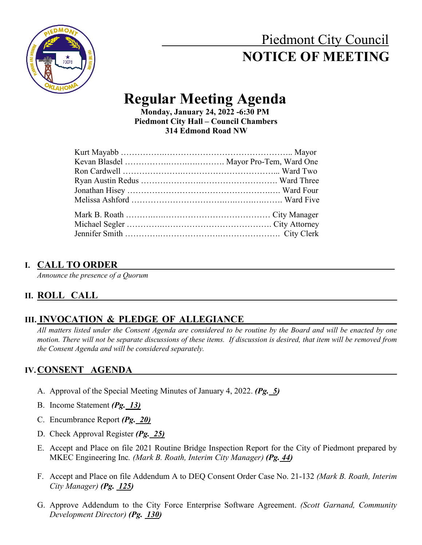# Piedmont City Council  **NOTICE OF MEETING**



# **Regular Meeting Agenda Monday, January 24, 2022 -6:30 PM**

 **Piedmont City Hall – Council Chambers 314 Edmond Road NW**

#### **I. CALL TO ORDER**

*Announce the presence of a Quorum*

# **II. ROLL CALL**

# **III. INVOCATION & PLEDGE OF ALLEGIANCE**

*All matters listed under the Consent Agenda are considered to be routine by the Board and will be enacted by one motion. There will not be separate discussions of these items. If discussion is desired, that item will be removed from the Consent Agenda and will be considered separately.*

## **IV.CONSENT AGENDA**

- A. Approval of the Special Meeting Minutes of January 4, 2022. *(Pg. 5)*
- B. Income Statement *(Pg. 13)*
- C. Encumbrance Report *(Pg. 20)*
- D. Check Approval Register *(Pg. 25)*
- E. Accept and Place on file 2021 Routine Bridge Inspection Report for the City of Piedmont prepared by MKEC Engineering Inc*. (Mark B. Roath, Interim City Manager) (Pg. 44)*
- F. Accept and Place on file Addendum A to DEQ Consent Order Case No. 21-132 *(Mark B. Roath, Interim City Manager) (Pg. 125)*
- G. Approve Addendum to the City Force Enterprise Software Agreement. *(Scott Garnand, Community Development Director) (Pg. 130)*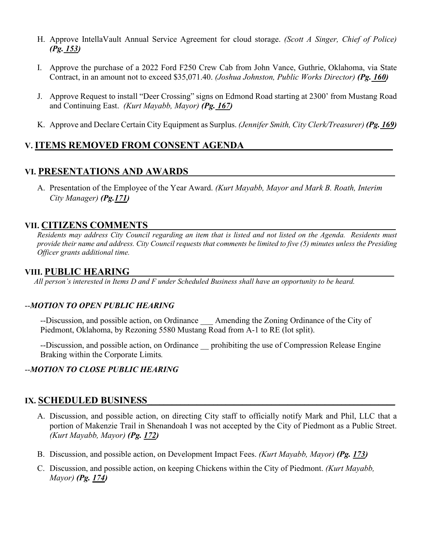- H. Approve IntellaVault Annual Service Agreement for cloud storage. *(Scott A Singer, Chief of Police) (Pg. 153)*
- I. Approve the purchase of a 2022 Ford F250 Crew Cab from John Vance, Guthrie, Oklahoma, via State Contract, in an amount not to exceed \$35,071.40. *(Joshua Johnston, Public Works Director) (Pg. 160)*
- J. Approve Request to install "Deer Crossing" signs on Edmond Road starting at 2300' from Mustang Road and Continuing East. *(Kurt Mayabb, Mayor) (Pg. 167)*
- K. Approve and Declare Certain City Equipment as Surplus. *(Jennifer Smith, City Clerk/Treasurer) (Pg. 169)*

#### **V. ITEMS REMOVED FROM CONSENT AGENDA\_\_\_\_\_\_\_\_\_\_\_\_\_\_\_\_\_\_\_\_\_\_\_\_\_\_\_\_\_\_\_\_\_\_\_\_**

#### **VI. PRESENTATIONS AND AWARDS**

A. Presentation of the Employee of the Year Award. *(Kurt Mayabb, Mayor and Mark B. Roath, Interim City Manager) (Pg.171)* 

#### **VII. CITIZENS COMMENTS\_\_\_\_\_\_\_\_\_\_\_\_\_\_\_\_\_\_\_\_\_\_\_\_\_\_\_\_\_\_\_\_\_\_\_\_\_\_\_\_\_\_\_\_\_\_\_\_\_\_\_\_\_\_\_\_\_\_\_\_**

*Residents may address City Council regarding an item that is listed and not listed on the Agenda. Residents must provide their name and address. City Council requests that comments be limited to five (5) minutes unless the Presiding Officer grants additional time.*

#### **VIII. PUBLIC HEARING**

*All person's interested in Items D and F under Scheduled Business shall have an opportunity to be heard.*

#### --*MOTION TO OPEN PUBLIC HEARING*

--Discussion, and possible action, on Ordinance \_\_\_ Amending the Zoning Ordinance of the City of Piedmont, Oklahoma, by Rezoning 5580 Mustang Road from A-1 to RE (lot split).

--Discussion, and possible action, on Ordinance prohibiting the use of Compression Release Engine Braking within the Corporate Limits*.*

#### --*MOTION TO CLOSE PUBLIC HEARING*

#### **IX. SCHEDULED BUSINESS**

- A. Discussion, and possible action, on directing City staff to officially notify Mark and Phil, LLC that a portion of Makenzie Trail in Shenandoah I was not accepted by the City of Piedmont as a Public Street. *(Kurt Mayabb, Mayor) (Pg. 172)*
- B. Discussion, and possible action, on Development Impact Fees. *(Kurt Mayabb, Mayor) (Pg. 173)*
- C. Discussion, and possible action, on keeping Chickens within the City of Piedmont. *(Kurt Mayabb, Mayor) (Pg. 174)*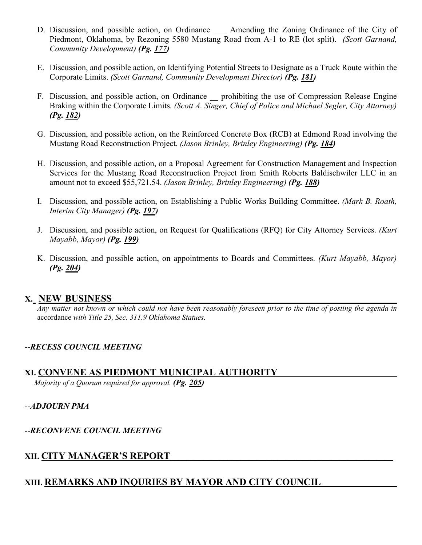- D. Discussion, and possible action, on Ordinance Amending the Zoning Ordinance of the City of Piedmont, Oklahoma, by Rezoning 5580 Mustang Road from A-1 to RE (lot split). *(Scott Garnand, Community Development) (Pg. 177)*
- E. Discussion, and possible action, on Identifying Potential Streets to Designate as a Truck Route within the Corporate Limits. *(Scott Garnand, Community Development Director) (Pg. 181)*
- F. Discussion, and possible action, on Ordinance prohibiting the use of Compression Release Engine Braking within the Corporate Limits*. (Scott A. Singer, Chief of Police and Michael Segler, City Attorney) (Pg. 182)*
- G. Discussion, and possible action, on the Reinforced Concrete Box (RCB) at Edmond Road involving the Mustang Road Reconstruction Project. *(Jason Brinley, Brinley Engineering) (Pg. 184)*
- H. Discussion, and possible action, on a Proposal Agreement for Construction Management and Inspection Services for the Mustang Road Reconstruction Project from Smith Roberts Baldischwiler LLC in an amount not to exceed \$55,721.54. *(Jason Brinley, Brinley Engineering) (Pg. 188)*
- I. Discussion, and possible action, on Establishing a Public Works Building Committee. *(Mark B. Roath, Interim City Manager) (Pg. 197)*
- J. Discussion, and possible action, on Request for Qualifications (RFQ) for City Attorney Services. *(Kurt Mayabb, Mayor) (Pg. 199)*
- K. Discussion, and possible action, on appointments to Boards and Committees. *(Kurt Mayabb, Mayor) (Pg. 204)*

#### **X. NEW BUSINESS\_\_\_\_\_\_\_\_\_\_\_\_\_\_\_\_\_\_\_\_\_\_\_\_\_\_\_\_\_\_\_\_\_\_\_\_\_\_\_\_\_\_\_\_\_\_\_\_\_\_\_\_\_\_\_\_\_\_\_\_\_\_\_\_\_\_\_\_\_**

*Any matter not known or which could not have been reasonably foreseen prior to the time of posting the agenda in*  accordance *with Title 25, Sec. 311.9 Oklahoma Statues.*

#### --*RECESS COUNCIL MEETING*

#### **XI. CONVENE AS PIEDMONT MUNICIPAL AUTHORITY**

*Majority of a Quorum required for approval. (Pg. 205)*

--*ADJOURN PMA*

--*RECONVENE COUNCIL MEETING*

#### **XII. CITY MANAGER'S REPORT\_\_\_\_\_\_\_\_\_\_\_\_\_\_\_\_\_\_\_\_\_\_\_\_\_\_\_\_\_\_\_\_\_\_\_\_\_\_\_\_\_\_\_\_\_\_\_\_\_\_\_\_\_\_**

# **XIII. REMARKS AND INQURIES BY MAYOR AND CITY COUNCIL \_\_\_\_\_\_\_\_\_\_\_\_**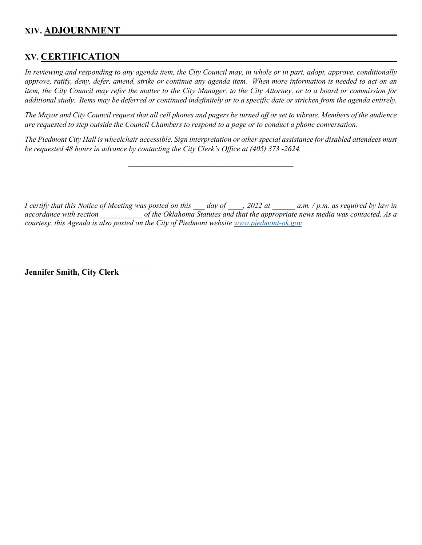#### **XIV. ADJOURNMENT \_\_\_\_\_\_**

#### **XV. CERTIFICATION \_\_\_\_\_\_**

*In reviewing and responding to any agenda item, the City Council may, in whole or in part, adopt, approve, conditionally approve, ratify, deny, defer, amend, strike or continue any agenda item. When more information is needed to act on an item, the City Council may refer the matter to the City Manager, to the City Attorney, or to a board or commission for additional study. Items may be deferred or continued indefinitely or to a specific date or stricken from the agenda entirely.*

*The Mayor and City Council request that all cell phones and pagers be turned off or set to vibrate. Members of the audience are requested to step outside the Council Chambers to respond to a page or to conduct a phone conversation.* 

*The Piedmont City Hall is wheelchair accessible. Sign interpretation or other special assistance for disabled attendees must be requested 48 hours in advance by contacting the City Clerk's Office at (405) 373 -2624.* 

 $\mathcal{L}_\text{max}$  and  $\mathcal{L}_\text{max}$  and  $\mathcal{L}_\text{max}$  and  $\mathcal{L}_\text{max}$  and  $\mathcal{L}_\text{max}$ 

*I certify that this Notice of Meeting was posted on this \_\_\_ day of \_\_\_\_, 2022 at \_\_\_\_\_\_ a.m. / p.m. as required by law in accordance with section \_\_\_\_\_\_\_\_\_\_\_ of the Oklahoma Statutes and that the appropriate news media was contacted. As a courtesy, this Agenda is also posted on the City of Piedmont website [www.piedmont-ok.gov](http://www.piedmont-ok.gov/)*

**Jennifer Smith, City Clerk**

 $\mathcal{L}_\mathcal{L}$  , and the set of the set of the set of the set of the set of the set of the set of the set of the set of the set of the set of the set of the set of the set of the set of the set of the set of the set of th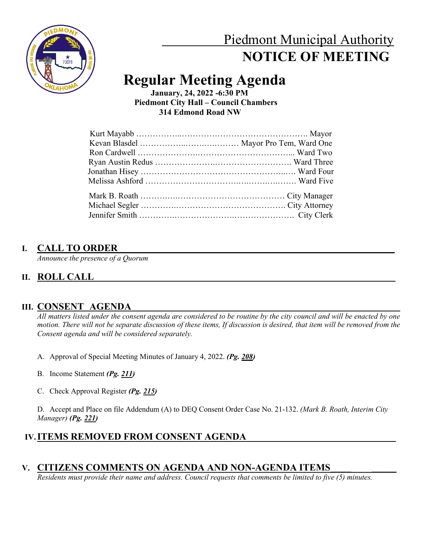

# Piedmont Municipal Authority  **NOTICE OF MEETING**

# **Regular Meeting Agenda**

 **January, 24, 2022 -6:30 PM Piedmont City Hall – Council Chambers 314 Edmond Road NW**

#### **I. CALL TO ORDER**

*Announce the presence of a Quorum*

# **II. ROLL CALL\_\_\_\_\_\_\_\_\_\_\_\_\_\_\_\_\_\_\_\_\_\_\_\_\_\_\_\_\_\_\_\_\_\_\_\_\_\_\_\_\_\_\_\_\_\_\_\_\_\_\_\_\_\_\_\_\_\_\_\_\_\_\_\_\_\_\_\_\_\_\_\_\_**

#### **III. CONSENT AGENDA**

*All matters listed under the consent agenda are considered to be routine by the city council and will be enacted by one motion. There will not be separate discussion of these items, If discussion is desired, that item will be removed from the Consent agenda and will be considered separately.*

- A. Approval of Special Meeting Minutes of January 4, 2022. *(Pg. 208)*
- B. Income Statement *(Pg. 211)*
- C. Check Approval Register *(Pg. 215)*

D. Accept and Place on file Addendum (A) to DEQ Consent Order Case No. 21-132. *(Mark B. Roath, Interim City Manager) (Pg. 221)*

# **IV. ITEMS REMOVED FROM CONSENT AGENDA**

## **V. CITIZENS COMMENTS ON AGENDA AND NON-AGENDA ITEMS**

*Residents must provide their name and address. Council requests that comments be limited to five (5) minutes.*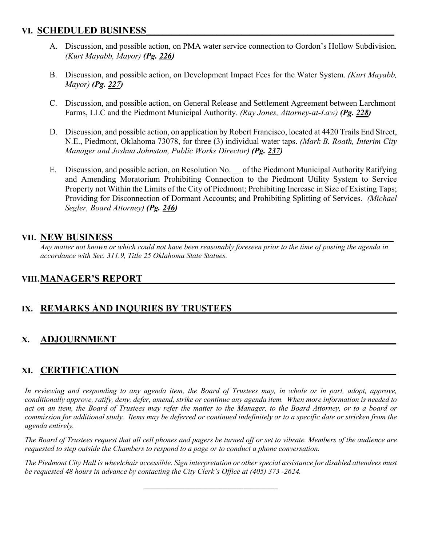#### **VI. SCHEDULED BUSINESS**

- A. Discussion, and possible action, on PMA water service connection to Gordon's Hollow Subdivision*. (Kurt Mayabb, Mayor) (Pg. 226)*
- B. Discussion, and possible action, on Development Impact Fees for the Water System. *(Kurt Mayabb, Mayor) (Pg. 227)*
- C. Discussion, and possible action, on General Release and Settlement Agreement between Larchmont Farms, LLC and the Piedmont Municipal Authority. *(Ray Jones, Attorney-at-Law) (Pg. 228)*
- D. Discussion, and possible action, on application by Robert Francisco, located at 4420 Trails End Street, N.E., Piedmont, Oklahoma 73078, for three (3) individual water taps. *(Mark B. Roath, Interim City Manager and Joshua Johnston, Public Works Director) (Pg. 237)*
- E. Discussion, and possible action, on Resolution No. \_\_ of the Piedmont Municipal Authority Ratifying and Amending Moratorium Prohibiting Connection to the Piedmont Utility System to Service Property not Within the Limits of the City of Piedmont; Prohibiting Increase in Size of Existing Taps; Providing for Disconnection of Dormant Accounts; and Prohibiting Splitting of Services. *(Michael Segler, Board Attorney) (Pg. 246)*

#### **VII. NEW BUSINESS**

*Any matter not known or which could not have been reasonably foreseen prior to the time of posting the agenda in accordance with Sec. 311.9, Title 25 Oklahoma State Statues.* 

## **VIII. MANAGER'S REPORT**

## **IX. REMARKS AND INQURIES BY TRUSTEES**

#### **X. ADJOURNMENT \_\_\_\_\_**

#### **XI. CERTIFICATION \_\_\_\_\_**

*In reviewing and responding to any agenda item, the Board of Trustees may, in whole or in part, adopt, approve, conditionally approve, ratify, deny, defer, amend, strike or continue any agenda item. When more information is needed to*  act on an item, the Board of Trustees may refer the matter to the Manager, to the Board Attorney, or to a board or *commission for additional study. Items may be deferred or continued indefinitely or to a specific date or stricken from the agenda entirely.*

*The Board of Trustees request that all cell phones and pagers be turned off or set to vibrate. Members of the audience are requested to step outside the Chambers to respond to a page or to conduct a phone conversation.* 

*The Piedmont City Hall is wheelchair accessible. Sign interpretation or other special assistance for disabled attendees must be requested 48 hours in advance by contacting the City Clerk's Office at (405) 373 -2624.* 

**\_\_\_\_\_\_\_\_\_\_\_\_\_\_\_\_\_\_\_\_\_\_\_\_\_\_\_\_\_\_\_\_\_\_\_\_\_\_\_**